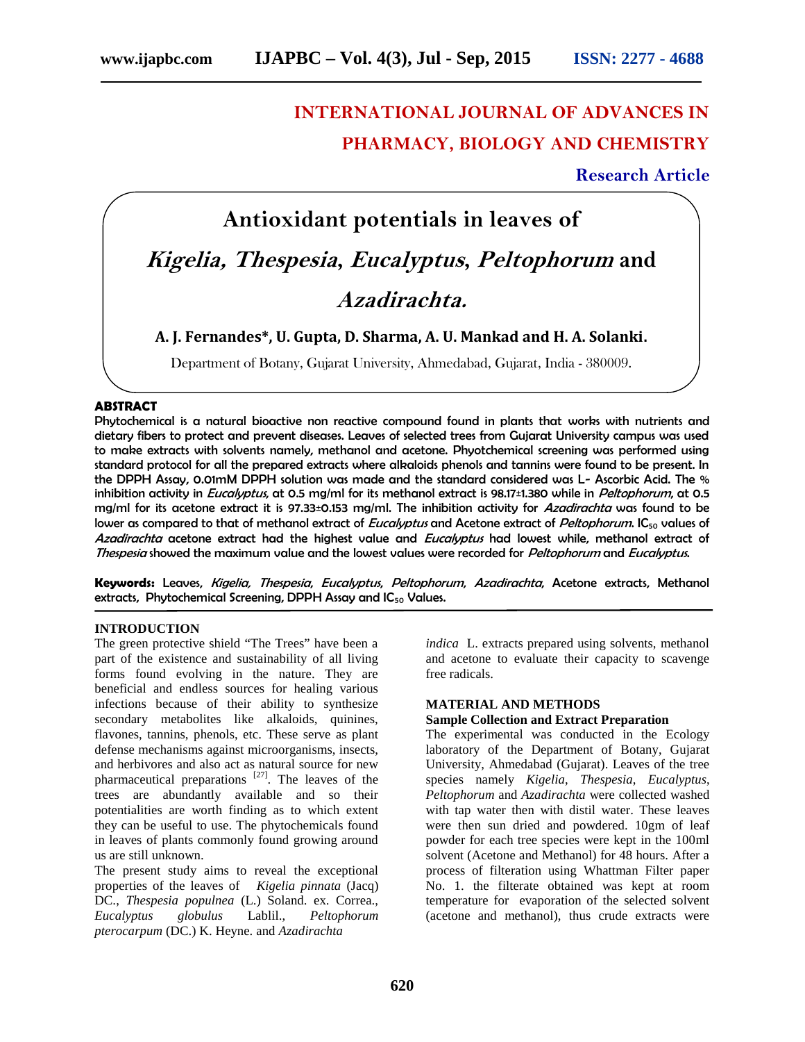# **INTERNATIONAL JOURNAL OF ADVANCES IN PHARMACY, BIOLOGY AND CHEMISTRY**

**Research Article**

# **Antioxidant potentials in leaves of** *Kigelia, Thespesia***,** *Eucalyptus***,** *Peltophorum* **and** *Azadirachta.*

**A. J. Fernandes\*, U. Gupta, D. Sharma, A. U. Mankad and H. A. Solanki.**

Department of Botany, Gujarat University, Ahmedabad, Gujarat, India - 380009.

# **ABSTRACT**

Phytochemical is a natural bioactive non reactive compound found in plants that works with nutrients and dietary fibers to protect and prevent diseases. Leaves of selected trees from Gujarat University campus was used to make extracts with solvents namely, methanol and acetone. Phyotchemical screening was performed using standard protocol for all the prepared extracts where alkaloids phenols and tannins were found to be present. In the DPPH Assay, 0.01mM DPPH solution was made and the standard considered was L- Ascorbic Acid. The % inhibition activity in *Eucalyptus*, at 0.5 mg/ml for its methanol extract is 98.17±1.380 while in *Peltophorum*, at 0.5 mg/ml for its acetone extract it is 97.33±0.153 mg/ml. The inhibition activity for *Azadirachta* was found to be lower as compared to that of methanol extract of *Eucalyptus* and Acetone extract of *Peltophorum*. IC<sub>50</sub> values of *Azadirachta* acetone extract had the highest value and *Eucalyptus* had lowest while, methanol extract of *Thespesia* showed the maximum value and the lowest values were recorded for *Peltophorum* and *Eucalyptus*.

**Keywords:** Leaves, *Kigelia, Thespesia*, *Eucalyptus*, *Peltophorum*, *Azadirachta*, Acetone extracts, Methanol extracts, Phytochemical Screening, DPPH Assay and IC<sub>50</sub> Values.

# **INTRODUCTION**

The green protective shield "The Trees" have been a part of the existence and sustainability of all living forms found evolving in the nature. They are beneficial and endless sources for healing various infections because of their ability to synthesize secondary metabolites like alkaloids, quinines, flavones, tannins, phenols, etc. These serve as plant defense mechanisms against microorganisms, insects, and herbivores and also act as natural source for new pharmaceutical preparations  $[27]$ . The leaves of the trees are abundantly available and so their potentialities are worth finding as to which extent they can be useful to use. The phytochemicals found in leaves of plants commonly found growing around us are still unknown.

The present study aims to reveal the exceptional properties of the leaves of *Kigelia pinnata* (Jacq) DC., *Thespesia populnea* (L.) Soland. ex. Correa., *Eucalyptus globulus* Lablil., *Peltophorum pterocarpum* (DC.) K. Heyne. and *Azadirachta*

*indica* L. extracts prepared using solvents, methanol and acetone to evaluate their capacity to scavenge free radicals.

# **MATERIAL AND METHODS**

# **Sample Collection and Extract Preparation**

The experimental was conducted in the Ecology laboratory of the Department of Botany, Gujarat University, Ahmedabad (Gujarat). Leaves of the tree species namely *Kigelia*, *Thespesia*, *Eucalyptus*, *Peltophorum* and *Azadirachta* were collected washed with tap water then with distil water. These leaves were then sun dried and powdered. 10gm of leaf powder for each tree species were kept in the 100ml solvent (Acetone and Methanol) for 48 hours. After a process of filteration using Whattman Filter paper No. 1. the filterate obtained was kept at room temperature for evaporation of the selected solvent (acetone and methanol), thus crude extracts were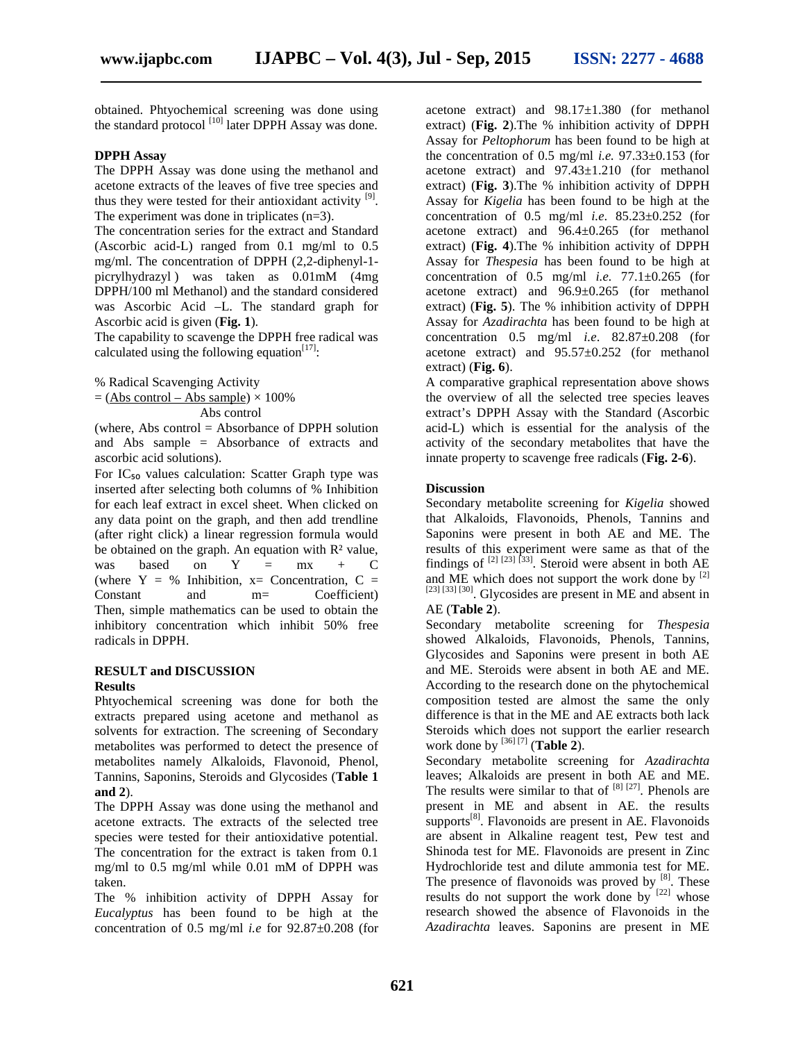obtained. Phtyochemical screening was done using the standard protocol  $\begin{bmatrix} 10 \\ 0 \end{bmatrix}$  later DPPH Assay was done.

#### **DPPH Assay**

The DPPH Assay was done using the methanol and acetone extracts of the leaves of five tree species and thus they were tested for their antioxidant activity  $[9]$ . The experiment was done in triplicates (n=3).

The concentration series for the extract and Standard (Ascorbic acid-L) ranged from 0.1 mg/ml to 0.5 mg/ml. The concentration of DPPH (2,2-diphenyl-1 picrylhydrazyl ) was taken as 0.01mM (4mg DPPH/100 ml Methanol) and the standard considered was Ascorbic Acid –L. The standard graph for Ascorbic acid is given (**Fig. 1**).

The capability to scavenge the DPPH free radical was calculated using the following equation<sup>[17]</sup>:

% Radical Scavenging Activity

 $=$  (Abs control – Abs sample)  $\times$  100%

Abs control

(where, Abs control = Absorbance of DPPH solution and Abs sample = Absorbance of extracts and ascorbic acid solutions).

For  $IC_{50}$  values calculation: Scatter Graph type was inserted after selecting both columns of % Inhibition for each leaf extract in excel sheet. When clicked on any data point on the graph, and then add trendline (after right click) a linear regression formula would be obtained on the graph. An equation with  $\mathbb{R}^2$  value, was based on  $Y = mx + C$  fine (where  $Y = \%$  Inhibition,  $x=$  Concentration,  $C =$ Constant and m= Coefficient) Then, simple mathematics can be used to obtain the inhibitory concentration which inhibit 50% free radicals in DPPH.

#### **RESULT and DISCUSSION Results**

Phtyochemical screening was done for both the extracts prepared using acetone and methanol as solvents for extraction. The screening of Secondary metabolites was performed to detect the presence of metabolites namely Alkaloids, Flavonoid, Phenol, Tannins, Saponins, Steroids and Glycosides (**Table 1 and 2**).

The DPPH Assay was done using the methanol and acetone extracts. The extracts of the selected tree species were tested for their antioxidative potential. The concentration for the extract is taken from 0.1 mg/ml to 0.5 mg/ml while 0.01 mM of DPPH was taken.

The % inhibition activity of DPPH Assay for *Eucalyptus* has been found to be high at the concentration of 0.5 mg/ml *i.e* for 92.87±0.208 (for acetone extract) and 98.17±1.380 (for methanol extract) (**Fig. 2**).The % inhibition activity of DPPH Assay for *Peltophorum* has been found to be high at the concentration of  $0.5$  mg/ml *i.e.*  $97.33\pm0.153$  (for acetone extract) and 97.43±1.210 (for methanol extract) (**Fig. 3**).The % inhibition activity of DPPH Assay for *Kigelia* has been found to be high at the concentration of 0.5 mg/ml *i.e*. 85.23±0.252 (for acetone extract) and 96.4±0.265 (for methanol extract) (**Fig. 4**).The % inhibition activity of DPPH Assay for *Thespesia* has been found to be high at concentration of 0.5 mg/ml *i.e.* 77.1±0.265 (for acetone extract) and 96.9±0.265 (for methanol extract) (**Fig. 5**). The % inhibition activity of DPPH Assay for *Azadirachta* has been found to be high at concentration 0.5 mg/ml *i.e*. 82.87±0.208 (for acetone extract) and 95.57±0.252 (for methanol extract) (**Fig. 6**).

A comparative graphical representation above shows the overview of all the selected tree species leaves extract's DPPH Assay with the Standard (Ascorbic acid-L) which is essential for the analysis of the activity of the secondary metabolites that have the innate property to scavenge free radicals (**Fig. 2-6**).

# **Discussion**

Secondary metabolite screening for *Kigelia* showed that Alkaloids, Flavonoids, Phenols, Tannins and Saponins were present in both AE and ME. The results of this experiment were same as that of the findings of  $\left[2\right]$   $\left[23\right]$   $\left[33\right]$ . Steroid were absent in both AE and ME which does not support the work done by  $[2]$ [23] [33] [30]. Glycosides are present in ME and absent in AE (**Table 2**).

Secondary metabolite screening for *Thespesia* showed Alkaloids, Flavonoids, Phenols, Tannins, Glycosides and Saponins were present in both AE and ME. Steroids were absent in both AE and ME. According to the research done on the phytochemical composition tested are almost the same the only difference is that in the ME and AE extracts both lack Steroids which does not support the earlier research work done by [36] [7] (**Table 2**).

Secondary metabolite screening for *Azadirachta* leaves; Alkaloids are present in both AE and ME. The results were similar to that of  $[8]$   $[27]$ . Phenols are present in ME and absent in AE. the results supports $[8]$ . Flavonoids are present in AE. Flavonoids are absent in Alkaline reagent test, Pew test and Shinoda test for ME. Flavonoids are present in Zinc Hydrochloride test and dilute ammonia test for ME. The presence of flavonoids was proved by  $[8]$ . These results do not support the work done by  $[22]$  whose research showed the absence of Flavonoids in the *Azadirachta* leaves. Saponins are present in ME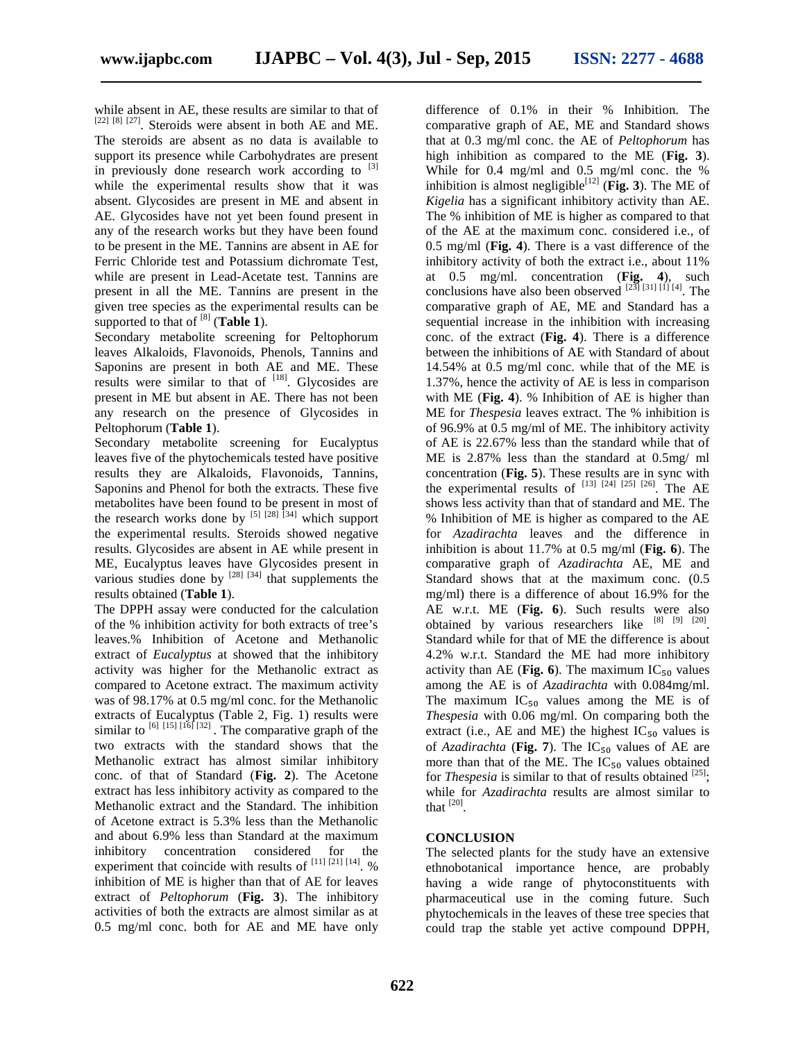while absent in AE, these results are similar to that of [22] [8] [27]. Steroids were absent in both AE and ME. The steroids are absent as no data is available to support its presence while Carbohydrates are present in previously done research work according to  $[3]$ while the experimental results show that it was absent. Glycosides are present in ME and absent in AE. Glycosides have not yet been found present in any of the research works but they have been found to be present in the ME. Tannins are absent in AE for Ferric Chloride test and Potassium dichromate Test, while are present in Lead-Acetate test. Tannins are present in all the ME. Tannins are present in the given tree species as the experimental results can be supported to that of  $^{[8]}$  (**Table 1**).

Secondary metabolite screening for Peltophorum leaves Alkaloids, Flavonoids, Phenols, Tannins and Saponins are present in both AE and ME. These results were similar to that of  $[18]$ . Glycosides are present in ME but absent in AE. There has not been any research on the presence of Glycosides in Peltophorum (**Table 1**).

Secondary metabolite screening for Eucalyptus leaves five of the phytochemicals tested have positive results they are Alkaloids, Flavonoids, Tannins, Saponins and Phenol for both the extracts. These five metabolites have been found to be present in most of the research works done by  $^{[5]}$   $^{[28]}$   $^{[34]}$  which support the experimental results. Steroids showed negative results. Glycosides are absent in AE while present in ME, Eucalyptus leaves have Glycosides present in various studies done by  $^{[28]}$   $^{[34]}$  that supplements the results obtained (**Table 1**).

The DPPH assay were conducted for the calculation of the % inhibition activity for both extracts of tree's leaves.% Inhibition of Acetone and Methanolic extract of *Eucalyptus* at showed that the inhibitory activity was higher for the Methanolic extract as compared to Acetone extract. The maximum activity was of 98.17% at 0.5 mg/ml conc. for the Methanolic extracts of Eucalyptus (Table 2, Fig. 1) results were similar to  $\frac{6}{15}$  [15]  $\frac{16}{5}$  [32]. The comparative graph of the two extracts with the standard shows that the Methanolic extract has almost similar inhibitory conc. of that of Standard (**Fig. 2**). The Acetone extract has less inhibitory activity as compared to the Methanolic extract and the Standard. The inhibition of Acetone extract is 5.3% less than the Methanolic and about 6.9% less than Standard at the maximum inhibitory concentration considered for the experiment that coincide with results of  $^{[11]}$   $[21]$   $[14]$ . % inhibition of ME is higher than that of AE for leaves extract of *Peltophorum* (**Fig. 3**). The inhibitory activities of both the extracts are almost similar as at 0.5 mg/ml conc. both for AE and ME have only

difference of 0.1% in their % Inhibition. The comparative graph of AE, ME and Standard shows that at 0.3 mg/ml conc. the AE of *Peltophorum* has high inhibition as compared to the ME (**Fig. 3**). While for 0.4 mg/ml and 0.5 mg/ml conc. the % inhibition is almost negligible<sup>[12]</sup> (Fig. 3). The ME of *Kigelia* has a significant inhibitory activity than AE. The % inhibition of ME is higher as compared to that of the AE at the maximum conc. considered i.e., of 0.5 mg/ml (**Fig. 4**). There is a vast difference of the inhibitory activity of both the extract i.e., about 11% at 0.5 mg/ml. concentration (**Fig. 4**), such conclusions have also been observed  $^{[23]}$   $^{[31]}$   $^{[11]}$   $^{[4]}$ . The comparative graph of AE, ME and Standard has a sequential increase in the inhibition with increasing conc. of the extract (**Fig. 4**). There is a difference between the inhibitions of AE with Standard of about 14.54% at 0.5 mg/ml conc. while that of the ME is 1.37%, hence the activity of AE is less in comparison with ME (**Fig. 4**). % Inhibition of AE is higher than ME for *Thespesia* leaves extract. The % inhibition is of 96.9% at 0.5 mg/ml of ME. The inhibitory activity of AE is 22.67% less than the standard while that of ME is 2.87% less than the standard at 0.5mg/ ml concentration (**Fig. 5**). These results are in sync with the experimental results of  $^{[13]}$   $^{[24]}$   $^{[25]}$   $^{[26]}$ . The AE shows less activity than that of standard and ME. The % Inhibition of ME is higher as compared to the AE for *Azadirachta* leaves and the difference in inhibition is about 11.7% at 0.5 mg/ml (**Fig. 6**). The comparative graph of *Azadirachta* AE, ME and Standard shows that at the maximum conc. (0.5 mg/ml) there is a difference of about 16.9% for the AE w.r.t. ME (**Fig. 6**). Such results were also obtained by various researchers like  $[8]$   $[9]$   $[20]$ . Standard while for that of ME the difference is about 4.2% w.r.t. Standard the ME had more inhibitory activity than AE (Fig. 6). The maximum  $IC_{50}$  values among the AE is of *Azadirachta* with 0.084mg/ml. The maximum  $IC_{50}$  values among the ME is of *Thespesia* with 0.06 mg/ml. On comparing both the extract (i.e., AE and ME) the highest  $IC_{50}$  values is of *Azadirachta* (Fig. 7). The  $IC_{50}$  values of AE are more than that of the ME. The  $IC_{50}$  values obtained for *Thespesia* is similar to that of results obtained  $^{[25]}$ ; while for *Azadirachta* results are almost similar to that  $^{[20]}$ .

# **CONCLUSION**

The selected plants for the study have an extensive ethnobotanical importance hence, are probably having a wide range of phytoconstituents with pharmaceutical use in the coming future. Such phytochemicals in the leaves of these tree species that could trap the stable yet active compound DPPH,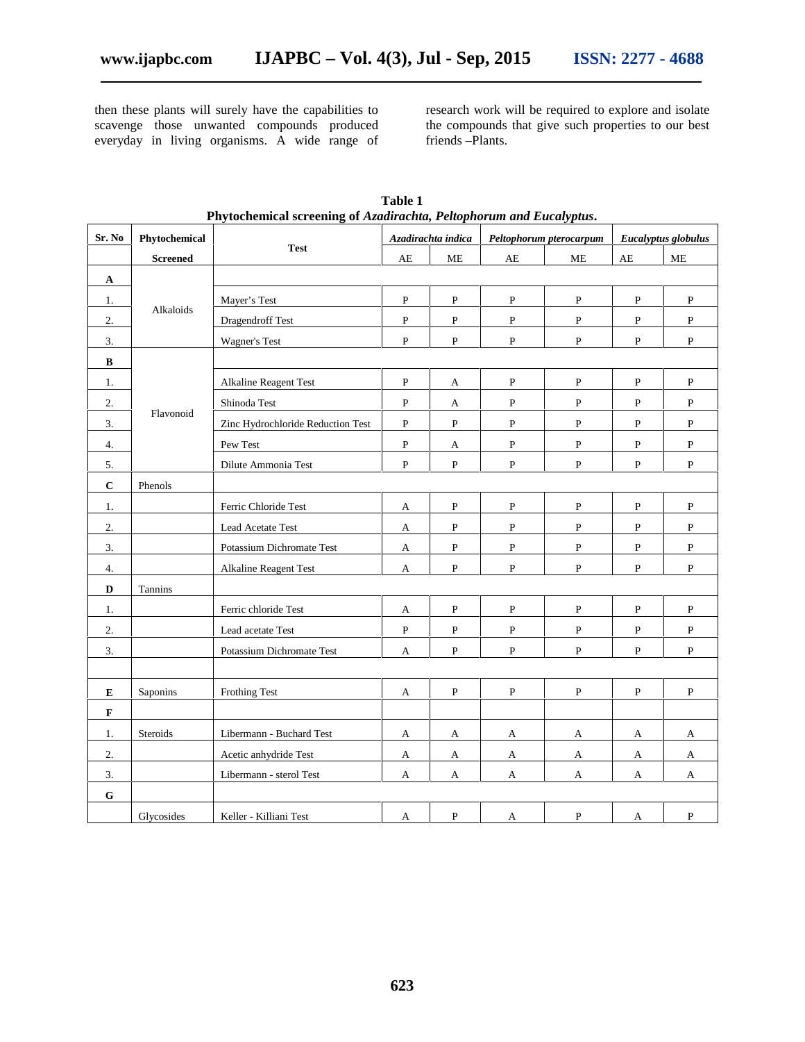then these plants will surely have the capabilities to scavenge those unwanted compounds produced everyday in living organisms. A wide range of research work will be required to explore and isolate the compounds that give such properties to our best friends –Plants.

| Sr. No       | Phytochemical   |                                   |              | Azadirachta indica |              | Peltophorum pterocarpum |                        | Eucalyptus globulus |
|--------------|-----------------|-----------------------------------|--------------|--------------------|--------------|-------------------------|------------------------|---------------------|
|              | <b>Screened</b> | <b>Test</b>                       | AE           | <b>ME</b>          | AE           | ME                      | $\mathbf{A}\mathbf{E}$ | ME                  |
| $\mathbf A$  |                 |                                   |              |                    |              |                         |                        |                     |
| 1.           |                 | Mayer's Test                      | $\, {\bf P}$ | $\, {\bf P}$       | $\, {\bf P}$ | $\, {\bf P}$            | $\, {\bf P}$           | $\, {\bf P}$        |
| 2.           | Alkaloids       | Dragendroff Test                  | $\mathbf{P}$ | $\mathbf P$        | $\mathbf{P}$ | $\mathbf{P}$            | P                      | $\mathbf{P}$        |
| 3.           |                 | Wagner's Test                     | $\, {\bf P}$ | $\mathbf{P}$       | ${\bf P}$    | $\, {\bf P}$            | $\, {\bf P}$           | $\, {\bf P}$        |
| $\, {\bf B}$ |                 |                                   |              |                    |              |                         |                        |                     |
| 1.           |                 | Alkaline Reagent Test             | $\, {\bf P}$ | A                  | $\, {\bf P}$ | $\mathbf{P}$            | $\, {\bf P}$           | ${\bf P}$           |
| 2.           |                 | Shinoda Test                      | $\, {\bf P}$ | A                  | ${\bf P}$    | $\, {\bf P}$            | P                      | P                   |
| 3.           | Flavonoid       | Zinc Hydrochloride Reduction Test | $\, {\bf P}$ | $\mathbf{P}$       | $\, {\bf P}$ | $\mathbf{P}$            | P                      | P                   |
| 4.           |                 | Pew Test                          | $\, {\bf P}$ | A                  | P            | $\, {\bf P}$            | ${\bf P}$              | $\mathbf{P}$        |
| 5.           |                 | Dilute Ammonia Test               | $\mathbf{P}$ | $\, {\bf P}$       | ${\bf P}$    | $\, {\bf P}$            | $\, {\bf P}$           | $\, {\bf P}$        |
| $\bf C$      | Phenols         |                                   |              |                    |              |                         |                        |                     |
| 1.           |                 | Ferric Chloride Test              | A            | $\, {\bf P}$       | $\, {\bf P}$ | P                       | P                      | P                   |
| 2.           |                 | Lead Acetate Test                 | $\mathbf A$  | $\mathbf{P}$       | ${\bf P}$    | $\mathbf{P}$            | P                      | $\, {\bf P}$        |
| 3.           |                 | Potassium Dichromate Test         | $\mathbf A$  | ${\bf P}$          | $\, {\bf P}$ | $\, {\bf P}$            | ${\bf P}$              | $\, {\bf P}$        |
| 4.           |                 | Alkaline Reagent Test             | $\mathbf A$  | $\, {\bf P}$       | ${\bf P}$    | $\, {\bf P}$            | P                      | $\, {\bf P}$        |
| D            | Tannins         |                                   |              |                    |              |                         |                        |                     |
| 1.           |                 | Ferric chloride Test              | A            | $\, {\bf P}$       | ${\bf P}$    | $\, {\bf P}$            | P                      | P                   |
| 2.           |                 | Lead acetate Test                 | $\, {\bf P}$ | ${\bf P}$          | ${\bf P}$    | $\, {\bf P}$            | ${\bf P}$              | $\, {\bf P}$        |
| 3.           |                 | Potassium Dichromate Test         | A            | $\mathbf{P}$       | $\mathbf{P}$ | $\mathbf P$             | ${\bf P}$              | $\mathbf{P}$        |
|              |                 |                                   |              |                    |              |                         |                        |                     |
| ${\bf E}$    | Saponins        | <b>Frothing Test</b>              | A            | $\mathbf{P}$       | $\, {\bf P}$ | $\mathbf{P}$            | P                      | $\, {\bf P}$        |
| $\mathbf F$  |                 |                                   |              |                    |              |                         |                        |                     |
| 1.           | Steroids        | Libermann - Buchard Test          | A            | A                  | A            | A                       | A                      | A                   |
| 2.           |                 | Acetic anhydride Test             | A            | A                  | A            | $\mathbf{A}$            | A                      | A                   |
| 3.           |                 | Libermann - sterol Test           | A            | A                  | A            | A                       | A                      | A                   |
| ${\bf G}$    |                 |                                   |              |                    |              |                         |                        |                     |
|              | Glycosides      | Keller - Killiani Test            | A            | ${\bf P}$          | A            | $\mathbf P$             | A                      | $\mathbf{P}$        |

**Table 1 Phytochemical screening of** *Azadirachta, Peltophorum and Eucalyptus***.**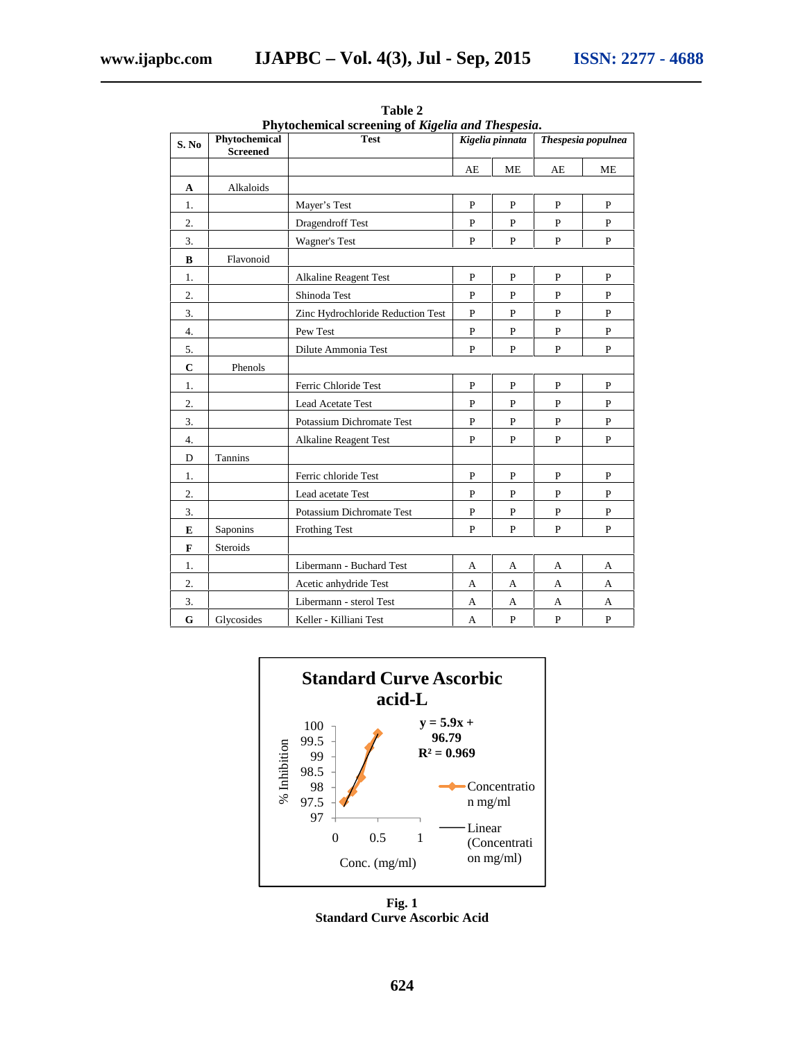| S. No       | Phytochemical<br><b>Screened</b> | пуюсисникат эспесинд от кізена ана тнезрезіа.<br><b>Test</b> | Kigelia pinnata |              | Thespesia populnea |              |  |
|-------------|----------------------------------|--------------------------------------------------------------|-----------------|--------------|--------------------|--------------|--|
|             |                                  |                                                              | AE              | ME           | AE                 | ME           |  |
| $\mathbf A$ | Alkaloids                        |                                                              |                 |              |                    |              |  |
| 1.          |                                  | Mayer's Test                                                 | $\mathbf{P}$    | $\mathbf{P}$ | P                  | $\mathbf{P}$ |  |
| 2.          |                                  | Dragendroff Test                                             | $\mathbf{P}$    | P            | P                  | $\mathbf{P}$ |  |
| 3.          |                                  | <b>Wagner's Test</b>                                         | $\mathbf{P}$    | $\, {\bf P}$ | $\mathbf{P}$       | $\, {\bf P}$ |  |
| $\bf{B}$    | Flavonoid                        |                                                              |                 |              |                    |              |  |
| 1.          |                                  | <b>Alkaline Reagent Test</b>                                 | $\mathbf{P}$    | $\mathbf{P}$ | $\mathbf{P}$       | $\mathbf{P}$ |  |
| 2.          |                                  | Shinoda Test                                                 | $\mathbf{P}$    | P            | P                  | P            |  |
| 3.          |                                  | Zinc Hydrochloride Reduction Test                            | $\mathbf{P}$    | $\mathbf{P}$ | P                  | P            |  |
| 4.          |                                  | Pew Test                                                     | $\mathbf{P}$    | $\mathbf{P}$ | $\mathbf{P}$       | $\mathbf{P}$ |  |
| 5.          |                                  | Dilute Ammonia Test                                          | $\mathbf{P}$    | $\mathbf{P}$ | P                  | $\mathbf{P}$ |  |
| $\mathbf C$ | Phenols                          |                                                              |                 |              |                    |              |  |
| 1.          |                                  | Ferric Chloride Test                                         | $\mathbf{P}$    | $\mathbf{P}$ | $\mathbf{P}$       | P            |  |
| 2.          |                                  | Lead Acetate Test                                            | P               | P            | P                  | P            |  |
| 3.          |                                  | Potassium Dichromate Test                                    | $\mathbf{P}$    | P            | P                  | P            |  |
| 4.          |                                  | <b>Alkaline Reagent Test</b>                                 | P               | $\mathbf P$  | $\mathbf P$        | $\mathbf{P}$ |  |
| D           | Tannins                          |                                                              |                 |              |                    |              |  |
| 1.          |                                  | Ferric chloride Test                                         | $\mathbf{P}$    | $\mathbf{P}$ | P                  | $\mathbf{P}$ |  |
| 2.          |                                  | Lead acetate Test                                            | P               | P            | P                  | P            |  |
| 3.          |                                  | Potassium Dichromate Test                                    | $\, {\bf P}$    | $\, {\bf P}$ | P                  | $\, {\bf P}$ |  |
| E           | Saponins                         | <b>Frothing Test</b>                                         | $\mathbf{P}$    | $\mathbf{P}$ | $\mathbf P$        | P            |  |
| F           | Steroids                         |                                                              |                 |              |                    |              |  |
| 1.          |                                  | Libermann - Buchard Test                                     | A               | A            | A                  | A            |  |
| 2.          |                                  | Acetic anhydride Test                                        | A               | A            | A                  | A            |  |
| 3.          |                                  | Libermann - sterol Test                                      | A               | A            | A                  | A            |  |
| G           | Glycosides                       | Keller - Killiani Test                                       | A               | $\mathbf{P}$ | P                  | P            |  |

**Table 2 Phytochemical screening of** *Kigelia and Thespesia***.**



**Fig. 1 Standard Curve Ascorbic Acid**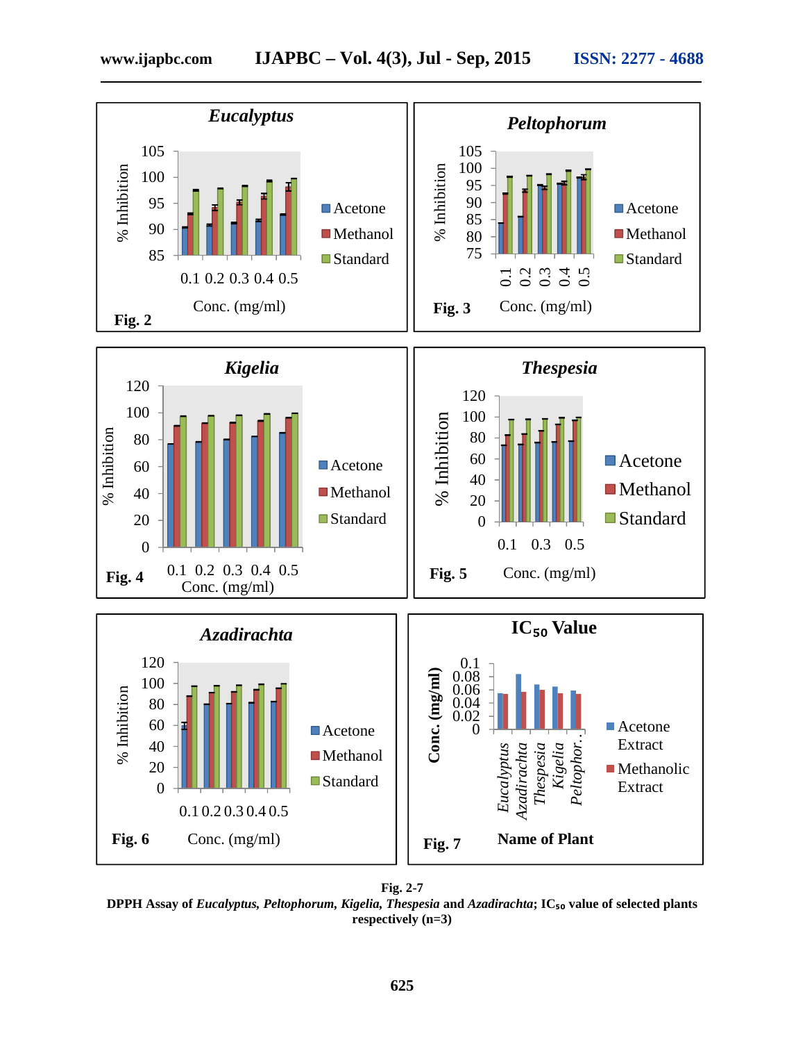

**Fig. 2-7 DPPH Assay of** *Eucalyptus, Peltophorum, Kigelia, Thespesia* **and** *Azadirachta***; IC₅₀ value of selected plants respectively (n=3)**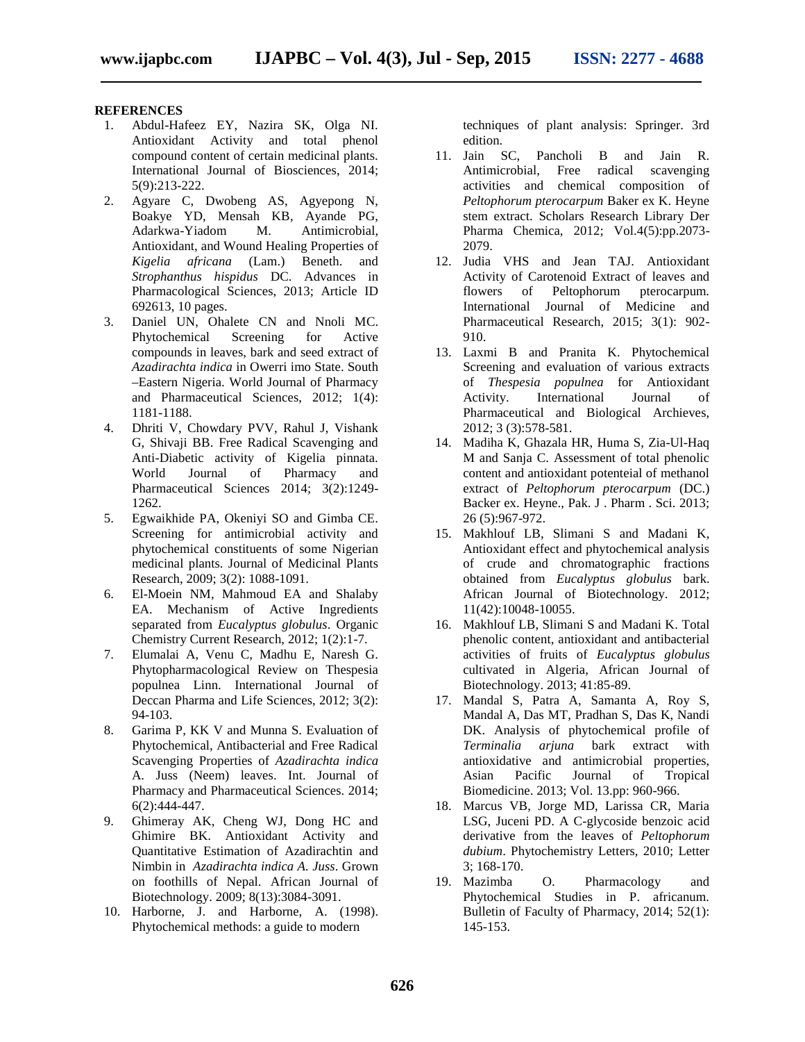# **REFERENCES**

- 1. Abdul-Hafeez EY, Nazira SK, Olga NI. Antioxidant Activity and total phenol compound content of certain medicinal plants. International Journal of Biosciences, 2014; 5(9):213-222.
- 2. Agyare C, Dwobeng AS, Agyepong N, Boakye YD, Mensah KB, Ayande PG, Adarkwa-Yiadom M. Antimicrobial, Antioxidant, and Wound Healing Properties of *Kigelia africana* (Lam.) Beneth. and *Strophanthus hispidus* DC. Advances in Pharmacological Sciences, 2013; Article ID 692613, 10 pages.
- 3. Daniel UN, Ohalete CN and Nnoli MC. Phytochemical Screening for Active compounds in leaves, bark and seed extract of *Azadirachta indica* in Owerri imo State. South –Eastern Nigeria. World Journal of Pharmacy and Pharmaceutical Sciences, 2012; 1(4): 1181-1188.
- 4. Dhriti V, Chowdary PVV, Rahul J, Vishank G, Shivaji BB. Free Radical Scavenging and Anti-Diabetic activity of Kigelia pinnata. World Journal of Pharmacy and Pharmaceutical Sciences 2014; 3(2):1249- 1262.
- 5. Egwaikhide PA, Okeniyi SO and Gimba CE. Screening for antimicrobial activity and phytochemical constituents of some Nigerian medicinal plants. Journal of Medicinal Plants Research, 2009; 3(2): 1088-1091.
- 6. El-Moein NM, Mahmoud EA and Shalaby EA. Mechanism of Active Ingredients separated from *Eucalyptus globulus*. Organic Chemistry Current Research, 2012; 1(2):1-7.
- 7. Elumalai A, Venu C, Madhu E, Naresh G. Phytopharmacological Review on Thespesia populnea Linn. International Journal of Deccan Pharma and Life Sciences, 2012; 3(2): 94-103.
- 8. Garima P, KK V and Munna S. Evaluation of Phytochemical, Antibacterial and Free Radical Scavenging Properties of *Azadirachta indica* A. Juss (Neem) leaves. Int. Journal of Pharmacy and Pharmaceutical Sciences. 2014; 6(2):444-447.
- 9. Ghimeray AK, Cheng WJ, Dong HC and Ghimire BK. Antioxidant Activity and Quantitative Estimation of Azadirachtin and Nimbin in *Azadirachta indica A. Juss*. Grown on foothills of Nepal. African Journal of Biotechnology. 2009; 8(13):3084-3091.
- 10. Harborne, J. and Harborne, A. (1998). Phytochemical methods: a guide to modern

techniques of plant analysis: Springer. 3rd edition.

- 11. Jain SC, Pancholi B and Jain R. Antimicrobial, Free radical scavenging activities and chemical composition of *Peltophorum pterocarpum* Baker ex K. Heyne stem extract. Scholars Research Library Der Pharma Chemica, 2012; Vol.4(5):pp.2073- 2079.
- 12. Judia VHS and Jean TAJ. Antioxidant Activity of Carotenoid Extract of leaves and flowers of Peltophorum pterocarpum. International Journal of Medicine and Pharmaceutical Research, 2015; 3(1): 902- 910.
- 13. Laxmi B and Pranita K. Phytochemical Screening and evaluation of various extracts of *Thespesia populnea* for Antioxidant Activity. International Journal of Pharmaceutical and Biological Archieves, 2012; 3 (3):578-581.
- 14. Madiha K, Ghazala HR, Huma S, Zia-Ul-Haq M and Sanja C. Assessment of total phenolic content and antioxidant potenteial of methanol extract of *Peltophorum pterocarpum* (DC.) Backer ex. Heyne., Pak. J . Pharm . Sci. 2013; 26 (5):967-972.
- 15. Makhlouf LB, Slimani S and Madani K, Antioxidant effect and phytochemical analysis of crude and chromatographic fractions obtained from *Eucalyptus globulus* bark. African Journal of Biotechnology. 2012; 11(42):10048-10055.
- 16. Makhlouf LB, Slimani S and Madani K. Total phenolic content, antioxidant and antibacterial activities of fruits of *Eucalyptus globulus* cultivated in Algeria, African Journal of Biotechnology. 2013; 41:85-89.
- 17. Mandal S, Patra A, Samanta A, Roy S, Mandal A, Das MT, Pradhan S, Das K, Nandi DK. Analysis of phytochemical profile of<br>Terminalia arjuna bark extract with *Terminalia arjuna* bark extract with antioxidative and antimicrobial properties, Asian Pacific Journal of Tropical Biomedicine. 2013; Vol. 13.pp: 960-966.
- 18. Marcus VB, Jorge MD, Larissa CR, Maria LSG, Juceni PD. A C-glycoside benzoic acid derivative from the leaves of *Peltophorum dubium*. Phytochemistry Letters, 2010; Letter 3; 168-170.
- 19. Mazimba O. Pharmacology and Phytochemical Studies in P. africanum. Bulletin of Faculty of Pharmacy, 2014; 52(1): 145-153.